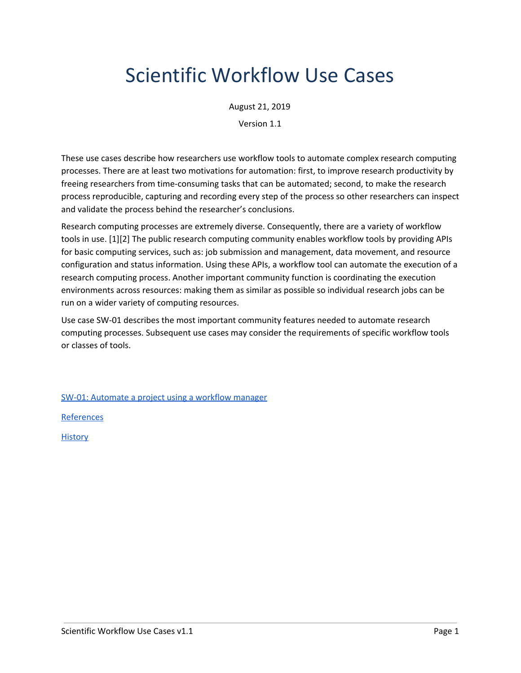## Scientific Workflow Use Cases

August 21, 2019

Version 1.1

These use cases describe how researchers use workflow tools to automate complex research computing processes. There are at least two motivations for automation: first, to improve research productivity by freeing researchers from time-consuming tasks that can be automated; second, to make the research process reproducible, capturing and recording every step of the process so other researchers can inspect and validate the process behind the researcher's conclusions.

Research computing processes are extremely diverse. Consequently, there are a variety of workflow tools in use. [1][2] The public research computing community enables workflow tools by providing APIs for basic computing services, such as: job submission and management, data movement, and resource configuration and status information. Using these APIs, a workflow tool can automate the execution of a research computing process. Another important community function is coordinating the execution environments across resources: making them as similar as possible so individual research jobs can be run on a wider variety of computing resources.

Use case SW-01 describes the most important community features needed to automate research computing processes. Subsequent use cases may consider the requirements of specific workflow tools or classes of tools.

SW-01: [Automate](#page-1-0) a project using a workflow manager

[References](#page-3-0)

**[History](#page-3-1)**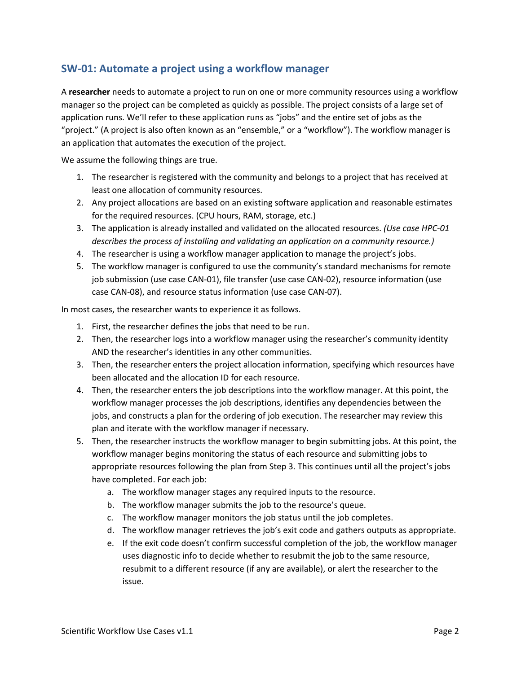## <span id="page-1-0"></span>**SW-01: Automate a project using a workflow manager**

A **researcher** needs to automate a project to run on one or more community resources using a workflow manager so the project can be completed as quickly as possible. The project consists of a large set of application runs. We'll refer to these application runs as "jobs" and the entire set of jobs as the "project." (A project is also often known as an "ensemble," or a "workflow"). The workflow manager is an application that automates the execution of the project.

We assume the following things are true.

- 1. The researcher is registered with the community and belongs to a project that has received at least one allocation of community resources.
- 2. Any project allocations are based on an existing software application and reasonable estimates for the required resources. (CPU hours, RAM, storage, etc.)
- 3. The application is already installed and validated on the allocated resources. *(Use case HPC-01 describes the process of installing and validating an application on a community resource.)*
- 4. The researcher is using a workflow manager application to manage the project's jobs.
- 5. The workflow manager is configured to use the community's standard mechanisms for remote job submission (use case CAN-01), file transfer (use case CAN-02), resource information (use case CAN-08), and resource status information (use case CAN-07).

In most cases, the researcher wants to experience it as follows.

- 1. First, the researcher defines the jobs that need to be run.
- 2. Then, the researcher logs into a workflow manager using the researcher's community identity AND the researcher's identities in any other communities.
- 3. Then, the researcher enters the project allocation information, specifying which resources have been allocated and the allocation ID for each resource.
- 4. Then, the researcher enters the job descriptions into the workflow manager. At this point, the workflow manager processes the job descriptions, identifies any dependencies between the jobs, and constructs a plan for the ordering of job execution. The researcher may review this plan and iterate with the workflow manager if necessary.
- 5. Then, the researcher instructs the workflow manager to begin submitting jobs. At this point, the workflow manager begins monitoring the status of each resource and submitting jobs to appropriate resources following the plan from Step 3. This continues until all the project's jobs have completed. For each job:
	- a. The workflow manager stages any required inputs to the resource.
	- b. The workflow manager submits the job to the resource's queue.
	- c. The workflow manager monitors the job status until the job completes.
	- d. The workflow manager retrieves the job's exit code and gathers outputs as appropriate.
	- e. If the exit code doesn't confirm successful completion of the job, the workflow manager uses diagnostic info to decide whether to resubmit the job to the same resource, resubmit to a different resource (if any are available), or alert the researcher to the issue.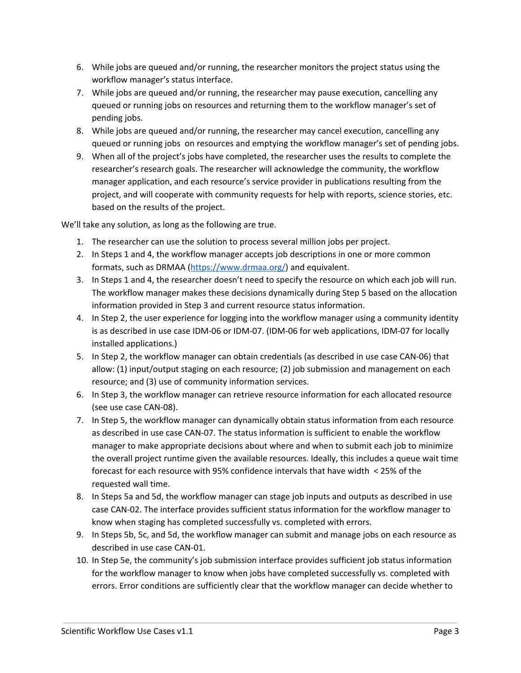- 6. While jobs are queued and/or running, the researcher monitors the project status using the workflow manager's status interface.
- 7. While jobs are queued and/or running, the researcher may pause execution, cancelling any queued or running jobs on resources and returning them to the workflow manager's set of pending jobs.
- 8. While jobs are queued and/or running, the researcher may cancel execution, cancelling any queued or running jobs on resources and emptying the workflow manager's set of pending jobs.
- 9. When all of the project's jobs have completed, the researcher uses the results to complete the researcher's research goals. The researcher will acknowledge the community, the workflow manager application, and each resource's service provider in publications resulting from the project, and will cooperate with community requests for help with reports, science stories, etc. based on the results of the project.

We'll take any solution, as long as the following are true.

- 1. The researcher can use the solution to process several million jobs per project.
- 2. In Steps 1 and 4, the workflow manager accepts job descriptions in one or more common formats, such as DRMAA ([https://www.drmaa.org/\)](https://www.drmaa.org/) and equivalent.
- 3. In Steps 1 and 4, the researcher doesn't need to specify the resource on which each job will run. The workflow manager makes these decisions dynamically during Step 5 based on the allocation information provided in Step 3 and current resource status information.
- 4. In Step 2, the user experience for logging into the workflow manager using a community identity is as described in use case IDM-06 or IDM-07. (IDM-06 for web applications, IDM-07 for locally installed applications.)
- 5. In Step 2, the workflow manager can obtain credentials (as described in use case CAN-06) that allow: (1) input/output staging on each resource; (2) job submission and management on each resource; and (3) use of community information services.
- 6. In Step 3, the workflow manager can retrieve resource information for each allocated resource (see use case CAN-08).
- 7. In Step 5, the workflow manager can dynamically obtain status information from each resource as described in use case CAN-07. The status information is sufficient to enable the workflow manager to make appropriate decisions about where and when to submit each job to minimize the overall project runtime given the available resources. Ideally, this includes a queue wait time forecast for each resource with 95% confidence intervals that have width < 25% of the requested wall time.
- 8. In Steps 5a and 5d, the workflow manager can stage job inputs and outputs as described in use case CAN-02. The interface provides sufficient status information for the workflow manager to know when staging has completed successfully vs. completed with errors.
- 9. In Steps 5b, 5c, and 5d, the workflow manager can submit and manage jobs on each resource as described in use case CAN-01.
- 10. In Step 5e, the community's job submission interface provides sufficient job status information for the workflow manager to know when jobs have completed successfully vs. completed with errors. Error conditions are sufficiently clear that the workflow manager can decide whether to